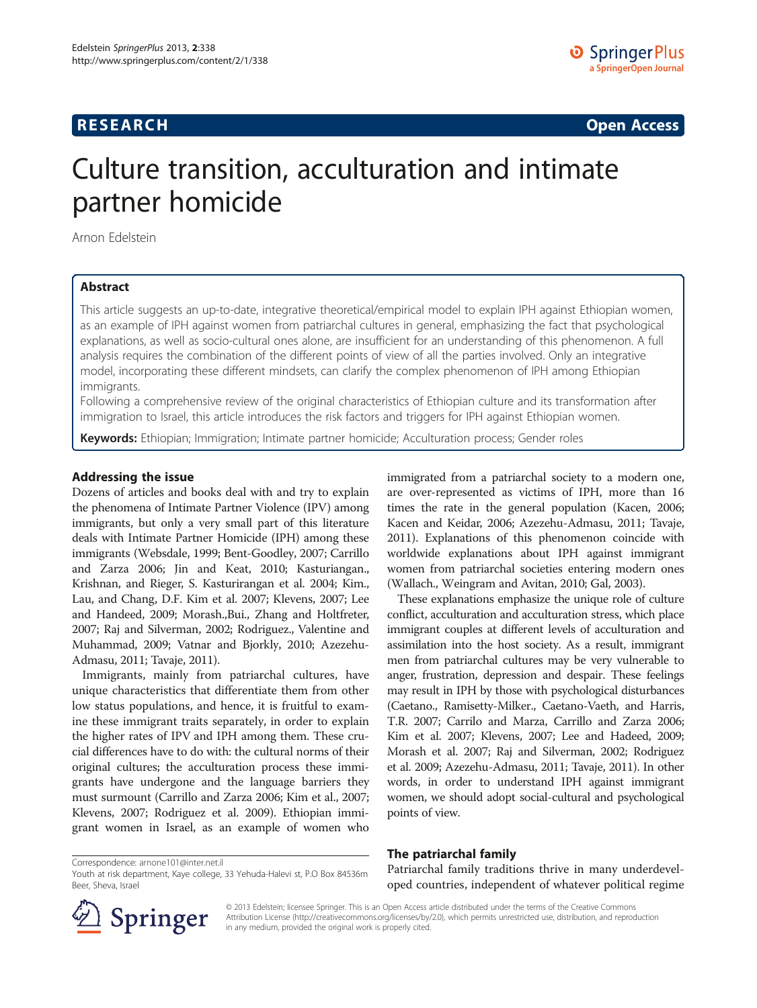## **RESEARCH RESEARCH CONSUMING ACCESS**

# Culture transition, acculturation and intimate partner homicide

Arnon Edelstein

### Abstract

This article suggests an up-to-date, integrative theoretical/empirical model to explain IPH against Ethiopian women, as an example of IPH against women from patriarchal cultures in general, emphasizing the fact that psychological explanations, as well as socio-cultural ones alone, are insufficient for an understanding of this phenomenon. A full analysis requires the combination of the different points of view of all the parties involved. Only an integrative model, incorporating these different mindsets, can clarify the complex phenomenon of IPH among Ethiopian immigrants.

Following a comprehensive review of the original characteristics of Ethiopian culture and its transformation after immigration to Israel, this article introduces the risk factors and triggers for IPH against Ethiopian women.

Keywords: Ethiopian; Immigration; Intimate partner homicide; Acculturation process; Gender roles

#### Addressing the issue

Dozens of articles and books deal with and try to explain the phenomena of Intimate Partner Violence (IPV) among immigrants, but only a very small part of this literature deals with Intimate Partner Homicide (IPH) among these immigrants (Websdale, [1999](#page-11-0); Bent-Goodley, [2007](#page-10-0); Carrillo and Zarza [2006](#page-10-0); Jin and Keat, [2010](#page-10-0); Kasturiangan., Krishnan, and Rieger, S. Kasturirangan et al. [2004](#page-10-0); Kim., Lau, and Chang, D.F. Kim et al. [2007](#page-10-0); Klevens, [2007;](#page-10-0) Lee and Handeed, [2009](#page-10-0); Morash.,Bui., Zhang and Holtfreter, [2007;](#page-10-0) Raj and Silverman, [2002](#page-10-0); Rodriguez., Valentine and Muhammad, [2009](#page-10-0); Vatnar and Bjorkly, [2010](#page-10-0); Azezehu-Admasu, [2011](#page-10-0); Tavaje, [2011\)](#page-10-0).

Immigrants, mainly from patriarchal cultures, have unique characteristics that differentiate them from other low status populations, and hence, it is fruitful to examine these immigrant traits separately, in order to explain the higher rates of IPV and IPH among them. These crucial differences have to do with: the cultural norms of their original cultures; the acculturation process these immigrants have undergone and the language barriers they must surmount (Carrillo and Zarza [2006;](#page-10-0) Kim et al., [2007](#page-10-0); Klevens, [2007](#page-10-0); Rodriguez et al. [2009](#page-10-0)). Ethiopian immigrant women in Israel, as an example of women who

immigrated from a patriarchal society to a modern one, are over-represented as victims of IPH, more than 16 times the rate in the general population (Kacen, [2006](#page-10-0); Kacen and Keidar, [2006;](#page-10-0) Azezehu-Admasu, [2011](#page-10-0); Tavaje, [2011\)](#page-10-0). Explanations of this phenomenon coincide with worldwide explanations about IPH against immigrant women from patriarchal societies entering modern ones (Wallach., Weingram and Avitan, [2010](#page-11-0); Gal, [2003\)](#page-10-0).

These explanations emphasize the unique role of culture conflict, acculturation and acculturation stress, which place immigrant couples at different levels of acculturation and assimilation into the host society. As a result, immigrant men from patriarchal cultures may be very vulnerable to anger, frustration, depression and despair. These feelings may result in IPH by those with psychological disturbances (Caetano., Ramisetty-Milker., Caetano-Vaeth, and Harris, T.R. [2007;](#page-10-0) Carrilo and Marza, Carrillo and Zarza [2006](#page-10-0); Kim et al. [2007](#page-10-0); Klevens, [2007;](#page-10-0) Lee and Hadeed, [2009](#page-10-0); Morash et al. [2007](#page-10-0); Raj and Silverman, [2002;](#page-10-0) Rodriguez et al. [2009](#page-10-0); Azezehu-Admasu, [2011;](#page-10-0) Tavaje, [2011](#page-10-0)). In other words, in order to understand IPH against immigrant women, we should adopt social-cultural and psychological points of view.

Youth at risk department, Kaye college, 33 Yehuda-Halevi st, P.O Box 84536m Beer, Sheva, Israel



Patriarchal family traditions thrive in many underdeveloped countries, independent of whatever political regime



© 2013 Edelstein; licensee Springer. This is an Open Access article distributed under the terms of the Creative Commons Attribution License [\(http://creativecommons.org/licenses/by/2.0\)](http://creativecommons.org/licenses/by/2.0), which permits unrestricted use, distribution, and reproduction in any medium, provided the original work is properly cited.

Correspondence: [arnone101@inter.net.il](mailto:arnone101@inter.net.il)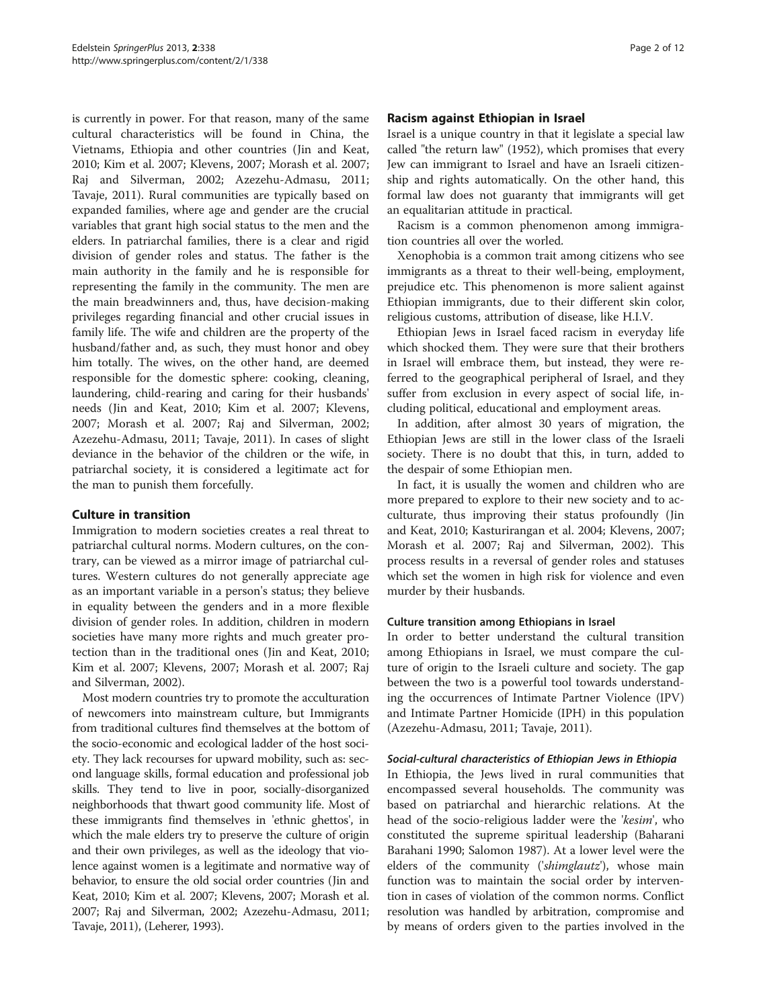is currently in power. For that reason, many of the same cultural characteristics will be found in China, the Vietnams, Ethiopia and other countries (Jin and Keat, [2010](#page-10-0); Kim et al. [2007](#page-10-0); Klevens, [2007](#page-10-0); Morash et al. [2007](#page-10-0); Raj and Silverman, [2002;](#page-10-0) Azezehu-Admasu, [2011](#page-10-0); Tavaje, [2011\)](#page-10-0). Rural communities are typically based on expanded families, where age and gender are the crucial variables that grant high social status to the men and the elders. In patriarchal families, there is a clear and rigid division of gender roles and status. The father is the main authority in the family and he is responsible for representing the family in the community. The men are the main breadwinners and, thus, have decision-making privileges regarding financial and other crucial issues in family life. The wife and children are the property of the husband/father and, as such, they must honor and obey him totally. The wives, on the other hand, are deemed responsible for the domestic sphere: cooking, cleaning, laundering, child-rearing and caring for their husbands' needs (Jin and Keat, [2010;](#page-10-0) Kim et al. [2007;](#page-10-0) Klevens, [2007](#page-10-0); Morash et al. [2007;](#page-10-0) Raj and Silverman, [2002](#page-10-0); Azezehu-Admasu, [2011;](#page-10-0) Tavaje, [2011](#page-10-0)). In cases of slight deviance in the behavior of the children or the wife, in patriarchal society, it is considered a legitimate act for the man to punish them forcefully.

#### Culture in transition

Immigration to modern societies creates a real threat to patriarchal cultural norms. Modern cultures, on the contrary, can be viewed as a mirror image of patriarchal cultures. Western cultures do not generally appreciate age as an important variable in a person's status; they believe in equality between the genders and in a more flexible division of gender roles. In addition, children in modern societies have many more rights and much greater protection than in the traditional ones (Jin and Keat, [2010](#page-10-0); Kim et al. [2007](#page-10-0); Klevens, [2007;](#page-10-0) Morash et al. [2007](#page-10-0); Raj and Silverman, [2002](#page-10-0)).

Most modern countries try to promote the acculturation of newcomers into mainstream culture, but Immigrants from traditional cultures find themselves at the bottom of the socio-economic and ecological ladder of the host society. They lack recourses for upward mobility, such as: second language skills, formal education and professional job skills. They tend to live in poor, socially-disorganized neighborhoods that thwart good community life. Most of these immigrants find themselves in 'ethnic ghettos', in which the male elders try to preserve the culture of origin and their own privileges, as well as the ideology that violence against women is a legitimate and normative way of behavior, to ensure the old social order countries (Jin and Keat, [2010;](#page-10-0) Kim et al. [2007;](#page-10-0) Klevens, [2007;](#page-10-0) Morash et al. [2007;](#page-10-0) Raj and Silverman, [2002;](#page-10-0) Azezehu-Admasu, [2011](#page-10-0); Tavaje, [2011\)](#page-10-0), (Leherer, [1993\)](#page-10-0).

#### Racism against Ethiopian in Israel

Israel is a unique country in that it legislate a special law called "the return law" (1952), which promises that every Jew can immigrant to Israel and have an Israeli citizenship and rights automatically. On the other hand, this formal law does not guaranty that immigrants will get an equalitarian attitude in practical.

Racism is a common phenomenon among immigration countries all over the worled.

Xenophobia is a common trait among citizens who see immigrants as a threat to their well-being, employment, prejudice etc. This phenomenon is more salient against Ethiopian immigrants, due to their different skin color, religious customs, attribution of disease, like H.I.V.

Ethiopian Jews in Israel faced racism in everyday life which shocked them. They were sure that their brothers in Israel will embrace them, but instead, they were referred to the geographical peripheral of Israel, and they suffer from exclusion in every aspect of social life, including political, educational and employment areas.

In addition, after almost 30 years of migration, the Ethiopian Jews are still in the lower class of the Israeli society. There is no doubt that this, in turn, added to the despair of some Ethiopian men.

In fact, it is usually the women and children who are more prepared to explore to their new society and to acculturate, thus improving their status profoundly (Jin and Keat, [2010](#page-10-0); Kasturirangan et al. [2004](#page-10-0); Klevens, [2007](#page-10-0); Morash et al. [2007](#page-10-0); Raj and Silverman, [2002\)](#page-10-0). This process results in a reversal of gender roles and statuses which set the women in high risk for violence and even murder by their husbands.

#### Culture transition among Ethiopians in Israel

In order to better understand the cultural transition among Ethiopians in Israel, we must compare the culture of origin to the Israeli culture and society. The gap between the two is a powerful tool towards understanding the occurrences of Intimate Partner Violence (IPV) and Intimate Partner Homicide (IPH) in this population (Azezehu-Admasu, [2011](#page-10-0); Tavaje, [2011\)](#page-10-0).

#### Social-cultural characteristics of Ethiopian Jews in Ethiopia

In Ethiopia, the Jews lived in rural communities that encompassed several households. The community was based on patriarchal and hierarchic relations. At the head of the socio-religious ladder were the 'kesim', who constituted the supreme spiritual leadership (Baharani Barahani [1990;](#page-10-0) Salomon [1987](#page-10-0)). At a lower level were the elders of the community ('shimglautz'), whose main function was to maintain the social order by intervention in cases of violation of the common norms. Conflict resolution was handled by arbitration, compromise and by means of orders given to the parties involved in the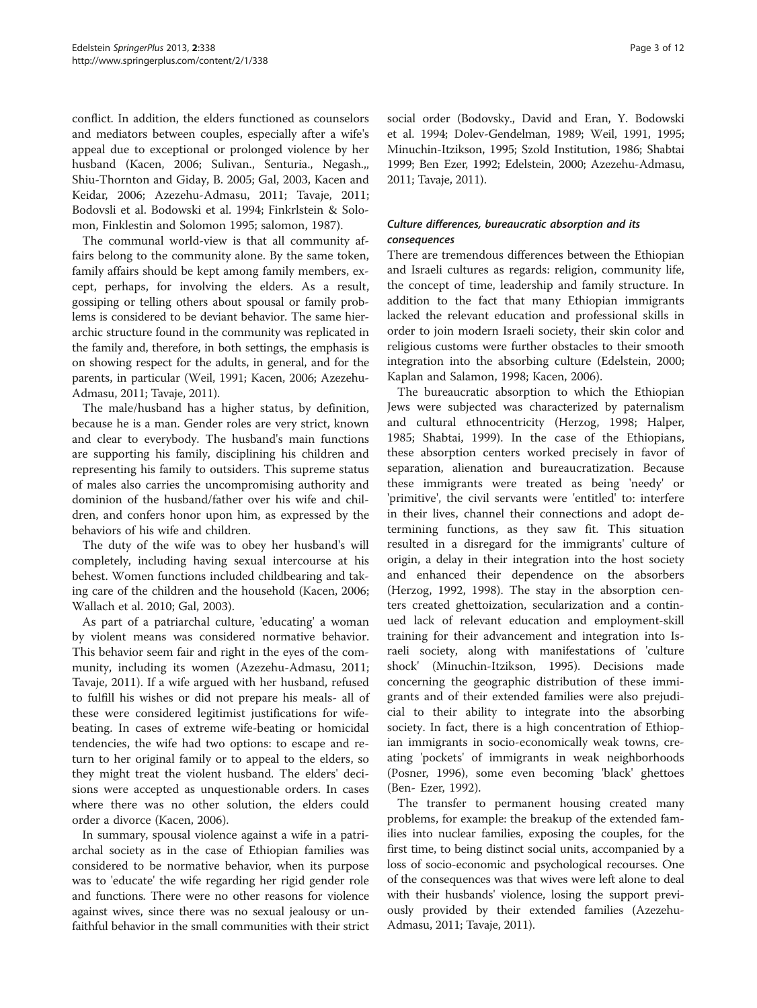conflict. In addition, the elders functioned as counselors and mediators between couples, especially after a wife's appeal due to exceptional or prolonged violence by her husband (Kacen, [2006;](#page-10-0) Sulivan., Senturia., Negash.,, Shiu-Thornton and Giday, B. [2005](#page-10-0); Gal, [2003](#page-10-0), Kacen and Keidar, [2006](#page-10-0); Azezehu-Admasu, [2011;](#page-10-0) Tavaje, [2011](#page-10-0); Bodovsli et al. Bodowski et al. [1994](#page-10-0); Finkrlstein & Solomon, Finklestin and Solomon [1995](#page-10-0); salomon, [1987\)](#page-10-0).

The communal world-view is that all community affairs belong to the community alone. By the same token, family affairs should be kept among family members, except, perhaps, for involving the elders. As a result, gossiping or telling others about spousal or family problems is considered to be deviant behavior. The same hierarchic structure found in the community was replicated in the family and, therefore, in both settings, the emphasis is on showing respect for the adults, in general, and for the parents, in particular (Weil, [1991](#page-11-0); Kacen, [2006](#page-10-0); Azezehu-Admasu, [2011](#page-10-0); Tavaje, [2011\)](#page-10-0).

The male/husband has a higher status, by definition, because he is a man. Gender roles are very strict, known and clear to everybody. The husband's main functions are supporting his family, disciplining his children and representing his family to outsiders. This supreme status of males also carries the uncompromising authority and dominion of the husband/father over his wife and children, and confers honor upon him, as expressed by the behaviors of his wife and children.

The duty of the wife was to obey her husband's will completely, including having sexual intercourse at his behest. Women functions included childbearing and taking care of the children and the household (Kacen, [2006](#page-10-0); Wallach et al. [2010](#page-11-0); Gal, [2003](#page-10-0)).

As part of a patriarchal culture, 'educating' a woman by violent means was considered normative behavior. This behavior seem fair and right in the eyes of the community, including its women (Azezehu-Admasu, [2011](#page-10-0); Tavaje, [2011](#page-10-0)). If a wife argued with her husband, refused to fulfill his wishes or did not prepare his meals- all of these were considered legitimist justifications for wifebeating. In cases of extreme wife-beating or homicidal tendencies, the wife had two options: to escape and return to her original family or to appeal to the elders, so they might treat the violent husband. The elders' decisions were accepted as unquestionable orders. In cases where there was no other solution, the elders could order a divorce (Kacen, [2006\)](#page-10-0).

In summary, spousal violence against a wife in a patriarchal society as in the case of Ethiopian families was considered to be normative behavior, when its purpose was to 'educate' the wife regarding her rigid gender role and functions. There were no other reasons for violence against wives, since there was no sexual jealousy or unfaithful behavior in the small communities with their strict

social order (Bodovsky., David and Eran, Y. Bodowski et al. [1994](#page-10-0); Dolev-Gendelman, [1989](#page-10-0); Weil, [1991](#page-11-0), [1995](#page-11-0); Minuchin-Itzikson, [1995;](#page-10-0) Szold Institution, [1986](#page-10-0); Shabtai [1999;](#page-10-0) Ben Ezer, [1992;](#page-10-0) Edelstein, [2000](#page-10-0); Azezehu-Admasu, [2011;](#page-10-0) Tavaje, [2011\)](#page-10-0).

#### Culture differences, bureaucratic absorption and its consequences

There are tremendous differences between the Ethiopian and Israeli cultures as regards: religion, community life, the concept of time, leadership and family structure. In addition to the fact that many Ethiopian immigrants lacked the relevant education and professional skills in order to join modern Israeli society, their skin color and religious customs were further obstacles to their smooth integration into the absorbing culture (Edelstein, [2000](#page-10-0); Kaplan and Salamon, [1998;](#page-10-0) Kacen, [2006\)](#page-10-0).

The bureaucratic absorption to which the Ethiopian Jews were subjected was characterized by paternalism and cultural ethnocentricity (Herzog, [1998](#page-10-0); Halper, [1985](#page-10-0); Shabtai, [1999\)](#page-10-0). In the case of the Ethiopians, these absorption centers worked precisely in favor of separation, alienation and bureaucratization. Because these immigrants were treated as being 'needy' or 'primitive', the civil servants were 'entitled' to: interfere in their lives, channel their connections and adopt determining functions, as they saw fit. This situation resulted in a disregard for the immigrants' culture of origin, a delay in their integration into the host society and enhanced their dependence on the absorbers (Herzog, [1992](#page-10-0), [1998\)](#page-10-0). The stay in the absorption centers created ghettoization, secularization and a continued lack of relevant education and employment-skill training for their advancement and integration into Israeli society, along with manifestations of 'culture shock' (Minuchin-Itzikson, [1995\)](#page-10-0). Decisions made concerning the geographic distribution of these immigrants and of their extended families were also prejudicial to their ability to integrate into the absorbing society. In fact, there is a high concentration of Ethiopian immigrants in socio-economically weak towns, creating 'pockets' of immigrants in weak neighborhoods (Posner, [1996](#page-10-0)), some even becoming 'black' ghettoes (Ben- Ezer, [1992](#page-10-0)).

The transfer to permanent housing created many problems, for example: the breakup of the extended families into nuclear families, exposing the couples, for the first time, to being distinct social units, accompanied by a loss of socio-economic and psychological recourses. One of the consequences was that wives were left alone to deal with their husbands' violence, losing the support previously provided by their extended families (Azezehu-Admasu, [2011](#page-10-0); Tavaje, [2011\)](#page-10-0).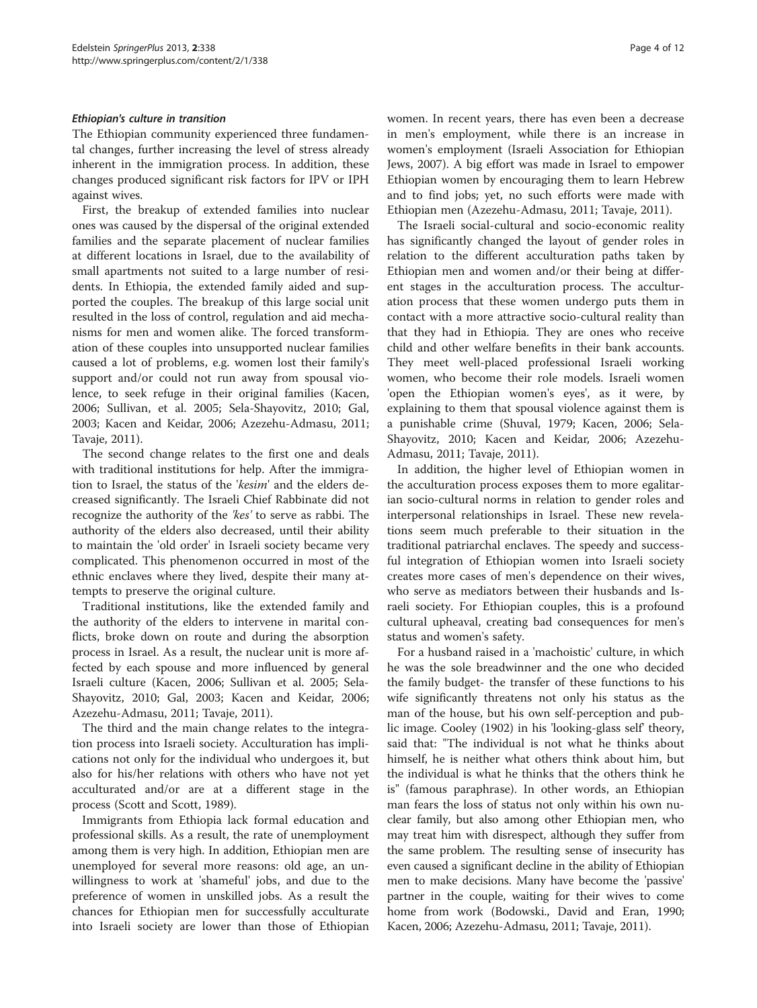#### Ethiopian's culture in transition

The Ethiopian community experienced three fundamental changes, further increasing the level of stress already inherent in the immigration process. In addition, these changes produced significant risk factors for IPV or IPH against wives.

First, the breakup of extended families into nuclear ones was caused by the dispersal of the original extended families and the separate placement of nuclear families at different locations in Israel, due to the availability of small apartments not suited to a large number of residents. In Ethiopia, the extended family aided and supported the couples. The breakup of this large social unit resulted in the loss of control, regulation and aid mechanisms for men and women alike. The forced transformation of these couples into unsupported nuclear families caused a lot of problems, e.g. women lost their family's support and/or could not run away from spousal violence, to seek refuge in their original families (Kacen, [2006](#page-10-0); Sullivan, et al. [2005](#page-10-0); Sela-Shayovitz, [2010](#page-10-0); Gal, [2003](#page-10-0); Kacen and Keidar, [2006](#page-10-0); Azezehu-Admasu, [2011](#page-10-0); Tavaje, [2011](#page-10-0)).

The second change relates to the first one and deals with traditional institutions for help. After the immigration to Israel, the status of the 'kesim' and the elders decreased significantly. The Israeli Chief Rabbinate did not recognize the authority of the 'kes' to serve as rabbi. The authority of the elders also decreased, until their ability to maintain the 'old order' in Israeli society became very complicated. This phenomenon occurred in most of the ethnic enclaves where they lived, despite their many attempts to preserve the original culture.

Traditional institutions, like the extended family and the authority of the elders to intervene in marital conflicts, broke down on route and during the absorption process in Israel. As a result, the nuclear unit is more affected by each spouse and more influenced by general Israeli culture (Kacen, [2006](#page-10-0); Sullivan et al. [2005;](#page-10-0) Sela-Shayovitz, [2010;](#page-10-0) Gal, [2003;](#page-10-0) Kacen and Keidar, [2006](#page-10-0); Azezehu-Admasu, [2011](#page-10-0); Tavaje, [2011](#page-10-0)).

The third and the main change relates to the integration process into Israeli society. Acculturation has implications not only for the individual who undergoes it, but also for his/her relations with others who have not yet acculturated and/or are at a different stage in the process (Scott and Scott, [1989\)](#page-10-0).

Immigrants from Ethiopia lack formal education and professional skills. As a result, the rate of unemployment among them is very high. In addition, Ethiopian men are unemployed for several more reasons: old age, an unwillingness to work at 'shameful' jobs, and due to the preference of women in unskilled jobs. As a result the chances for Ethiopian men for successfully acculturate into Israeli society are lower than those of Ethiopian

women. In recent years, there has even been a decrease in men's employment, while there is an increase in women's employment (Israeli Association for Ethiopian Jews, [2007](#page-10-0)). A big effort was made in Israel to empower Ethiopian women by encouraging them to learn Hebrew and to find jobs; yet, no such efforts were made with Ethiopian men (Azezehu-Admasu, [2011](#page-10-0); Tavaje, [2011\)](#page-10-0).

The Israeli social-cultural and socio-economic reality has significantly changed the layout of gender roles in relation to the different acculturation paths taken by Ethiopian men and women and/or their being at different stages in the acculturation process. The acculturation process that these women undergo puts them in contact with a more attractive socio-cultural reality than that they had in Ethiopia. They are ones who receive child and other welfare benefits in their bank accounts. They meet well-placed professional Israeli working women, who become their role models. Israeli women 'open the Ethiopian women's eyes', as it were, by explaining to them that spousal violence against them is a punishable crime (Shuval, [1979;](#page-10-0) Kacen, [2006;](#page-10-0) Sela-Shayovitz, [2010](#page-10-0); Kacen and Keidar, [2006;](#page-10-0) Azezehu-Admasu, [2011](#page-10-0); Tavaje, [2011\)](#page-10-0).

In addition, the higher level of Ethiopian women in the acculturation process exposes them to more egalitarian socio-cultural norms in relation to gender roles and interpersonal relationships in Israel. These new revelations seem much preferable to their situation in the traditional patriarchal enclaves. The speedy and successful integration of Ethiopian women into Israeli society creates more cases of men's dependence on their wives, who serve as mediators between their husbands and Israeli society. For Ethiopian couples, this is a profound cultural upheaval, creating bad consequences for men's status and women's safety.

For a husband raised in a 'machoistic' culture, in which he was the sole breadwinner and the one who decided the family budget- the transfer of these functions to his wife significantly threatens not only his status as the man of the house, but his own self-perception and public image. Cooley ([1902](#page-10-0)) in his 'looking-glass self' theory, said that: "The individual is not what he thinks about himself, he is neither what others think about him, but the individual is what he thinks that the others think he is" (famous paraphrase). In other words, an Ethiopian man fears the loss of status not only within his own nuclear family, but also among other Ethiopian men, who may treat him with disrespect, although they suffer from the same problem. The resulting sense of insecurity has even caused a significant decline in the ability of Ethiopian men to make decisions. Many have become the 'passive' partner in the couple, waiting for their wives to come home from work (Bodowski., David and Eran, [1990](#page-10-0); Kacen, [2006](#page-10-0); Azezehu-Admasu, [2011](#page-10-0); Tavaje, [2011](#page-10-0)).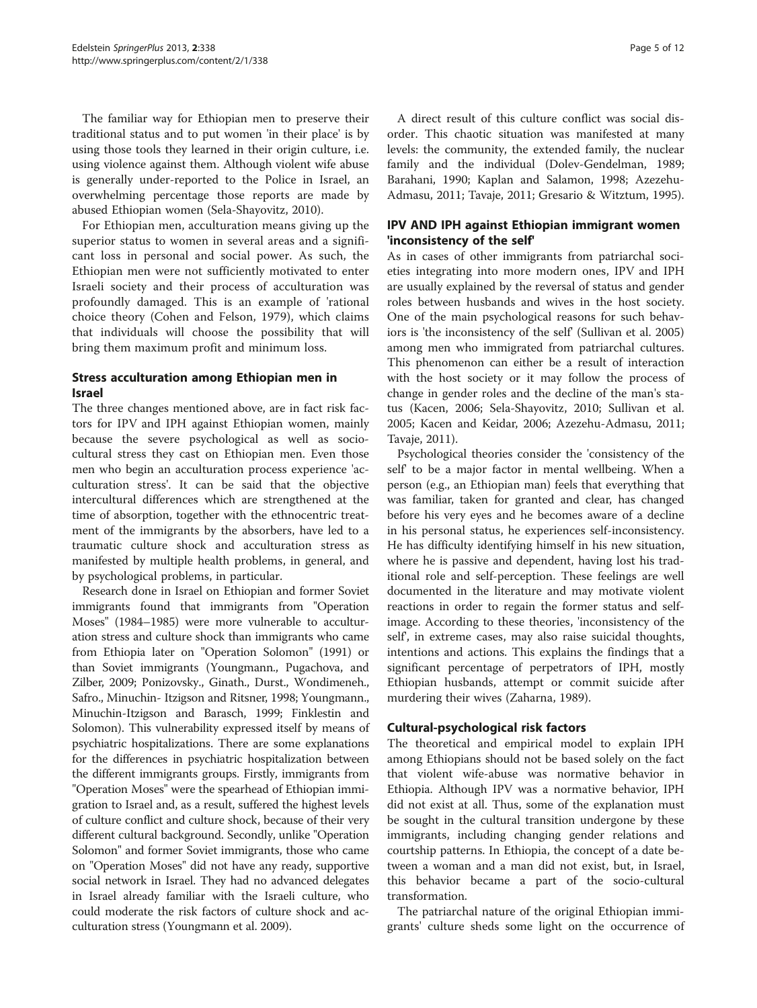The familiar way for Ethiopian men to preserve their traditional status and to put women 'in their place' is by using those tools they learned in their origin culture, i.e. using violence against them. Although violent wife abuse is generally under-reported to the Police in Israel, an overwhelming percentage those reports are made by abused Ethiopian women (Sela-Shayovitz, [2010](#page-10-0)).

For Ethiopian men, acculturation means giving up the superior status to women in several areas and a significant loss in personal and social power. As such, the Ethiopian men were not sufficiently motivated to enter Israeli society and their process of acculturation was profoundly damaged. This is an example of 'rational choice theory (Cohen and Felson, [1979\)](#page-10-0), which claims that individuals will choose the possibility that will bring them maximum profit and minimum loss.

## Stress acculturation among Ethiopian men in Israel

The three changes mentioned above, are in fact risk factors for IPV and IPH against Ethiopian women, mainly because the severe psychological as well as sociocultural stress they cast on Ethiopian men. Even those men who begin an acculturation process experience 'acculturation stress'. It can be said that the objective intercultural differences which are strengthened at the time of absorption, together with the ethnocentric treatment of the immigrants by the absorbers, have led to a traumatic culture shock and acculturation stress as manifested by multiple health problems, in general, and by psychological problems, in particular.

Research done in Israel on Ethiopian and former Soviet immigrants found that immigrants from "Operation Moses" (1984–1985) were more vulnerable to acculturation stress and culture shock than immigrants who came from Ethiopia later on "Operation Solomon" (1991) or than Soviet immigrants (Youngmann., Pugachova, and Zilber, [2009](#page-11-0); Ponizovsky., Ginath., Durst., Wondimeneh., Safro., Minuchin- Itzigson and Ritsner, [1998](#page-10-0); Youngmann., Minuchin-Itzigson and Barasch, [1999](#page-11-0); Finklestin and Solomon). This vulnerability expressed itself by means of psychiatric hospitalizations. There are some explanations for the differences in psychiatric hospitalization between the different immigrants groups. Firstly, immigrants from "Operation Moses" were the spearhead of Ethiopian immigration to Israel and, as a result, suffered the highest levels of culture conflict and culture shock, because of their very different cultural background. Secondly, unlike "Operation Solomon" and former Soviet immigrants, those who came on "Operation Moses" did not have any ready, supportive social network in Israel. They had no advanced delegates in Israel already familiar with the Israeli culture, who could moderate the risk factors of culture shock and acculturation stress (Youngmann et al. [2009](#page-11-0)).

A direct result of this culture conflict was social disorder. This chaotic situation was manifested at many levels: the community, the extended family, the nuclear family and the individual (Dolev-Gendelman, [1989](#page-10-0); Barahani, [1990](#page-10-0); Kaplan and Salamon, [1998](#page-10-0); Azezehu-Admasu, [2011](#page-10-0); Tavaje, [2011;](#page-10-0) Gresario & Witztum, [1995](#page-10-0)).

#### IPV AND IPH against Ethiopian immigrant women 'inconsistency of the self'

As in cases of other immigrants from patriarchal societies integrating into more modern ones, IPV and IPH are usually explained by the reversal of status and gender roles between husbands and wives in the host society. One of the main psychological reasons for such behaviors is 'the inconsistency of the self' (Sullivan et al. [2005](#page-10-0)) among men who immigrated from patriarchal cultures. This phenomenon can either be a result of interaction with the host society or it may follow the process of change in gender roles and the decline of the man's status (Kacen, [2006;](#page-10-0) Sela-Shayovitz, [2010](#page-10-0); Sullivan et al. [2005](#page-10-0); Kacen and Keidar, [2006](#page-10-0); Azezehu-Admasu, [2011](#page-10-0); Tavaje, [2011](#page-10-0)).

Psychological theories consider the 'consistency of the self' to be a major factor in mental wellbeing. When a person (e.g., an Ethiopian man) feels that everything that was familiar, taken for granted and clear, has changed before his very eyes and he becomes aware of a decline in his personal status, he experiences self-inconsistency. He has difficulty identifying himself in his new situation, where he is passive and dependent, having lost his traditional role and self-perception. These feelings are well documented in the literature and may motivate violent reactions in order to regain the former status and selfimage. According to these theories, 'inconsistency of the self', in extreme cases, may also raise suicidal thoughts, intentions and actions. This explains the findings that a significant percentage of perpetrators of IPH, mostly Ethiopian husbands, attempt or commit suicide after murdering their wives (Zaharna, [1989\)](#page-11-0).

#### Cultural-psychological risk factors

The theoretical and empirical model to explain IPH among Ethiopians should not be based solely on the fact that violent wife-abuse was normative behavior in Ethiopia. Although IPV was a normative behavior, IPH did not exist at all. Thus, some of the explanation must be sought in the cultural transition undergone by these immigrants, including changing gender relations and courtship patterns. In Ethiopia, the concept of a date between a woman and a man did not exist, but, in Israel, this behavior became a part of the socio-cultural transformation.

The patriarchal nature of the original Ethiopian immigrants' culture sheds some light on the occurrence of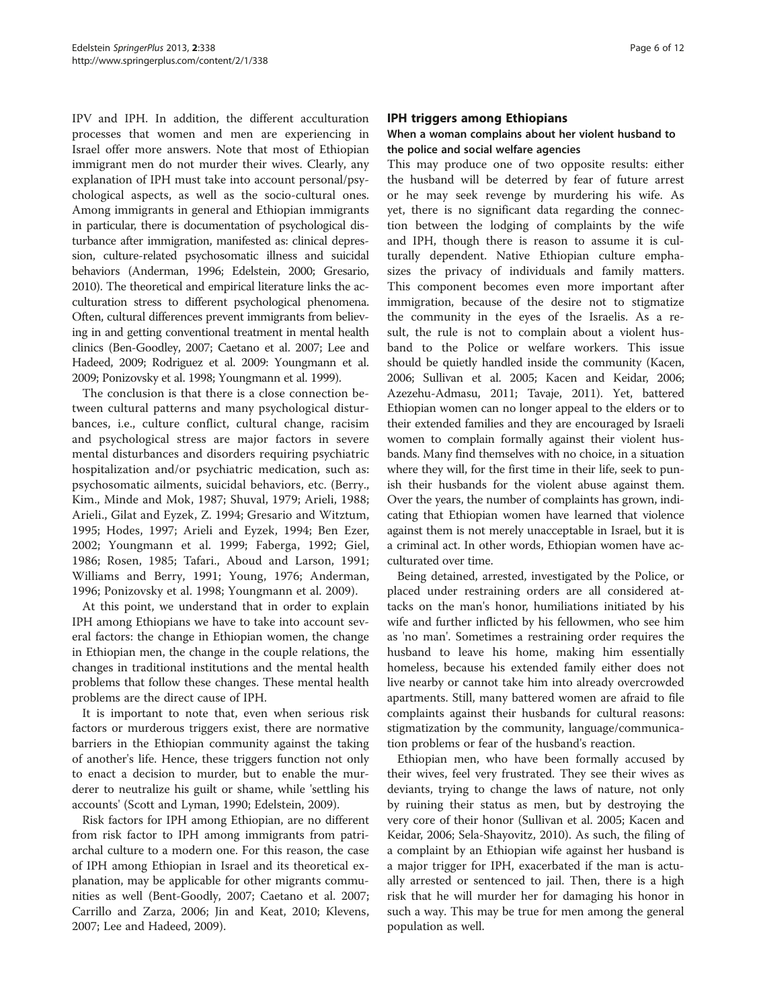IPV and IPH. In addition, the different acculturation processes that women and men are experiencing in Israel offer more answers. Note that most of Ethiopian immigrant men do not murder their wives. Clearly, any explanation of IPH must take into account personal/psychological aspects, as well as the socio-cultural ones. Among immigrants in general and Ethiopian immigrants in particular, there is documentation of psychological disturbance after immigration, manifested as: clinical depression, culture-related psychosomatic illness and suicidal behaviors (Anderman, [1996;](#page-10-0) Edelstein, [2000](#page-10-0); Gresario, [2010\)](#page-10-0). The theoretical and empirical literature links the acculturation stress to different psychological phenomena. Often, cultural differences prevent immigrants from believing in and getting conventional treatment in mental health clinics (Ben-Goodley, [2007](#page-10-0); Caetano et al. [2007;](#page-10-0) Lee and Hadeed, [2009;](#page-10-0) Rodriguez et al. [2009](#page-10-0): Youngmann et al. [2009;](#page-11-0) Ponizovsky et al. [1998](#page-10-0); Youngmann et al. [1999\)](#page-11-0).

The conclusion is that there is a close connection between cultural patterns and many psychological disturbances, i.e., culture conflict, cultural change, racisim and psychological stress are major factors in severe mental disturbances and disorders requiring psychiatric hospitalization and/or psychiatric medication, such as: psychosomatic ailments, suicidal behaviors, etc. (Berry., Kim., Minde and Mok, [1987;](#page-10-0) Shuval, [1979](#page-10-0); Arieli, [1988](#page-10-0); Arieli., Gilat and Eyzek, Z. [1994](#page-10-0); Gresario and Witztum, [1995;](#page-10-0) Hodes, [1997](#page-10-0); Arieli and Eyzek, [1994](#page-10-0); Ben Ezer, [2002;](#page-10-0) Youngmann et al. [1999;](#page-11-0) Faberga, [1992;](#page-10-0) Giel, [1986;](#page-10-0) Rosen, [1985;](#page-10-0) Tafari., Aboud and Larson, [1991](#page-10-0); Williams and Berry, [1991;](#page-11-0) Young, [1976;](#page-11-0) Anderman, [1996;](#page-10-0) Ponizovsky et al. [1998](#page-10-0); Youngmann et al. [2009](#page-11-0)).

At this point, we understand that in order to explain IPH among Ethiopians we have to take into account several factors: the change in Ethiopian women, the change in Ethiopian men, the change in the couple relations, the changes in traditional institutions and the mental health problems that follow these changes. These mental health problems are the direct cause of IPH.

It is important to note that, even when serious risk factors or murderous triggers exist, there are normative barriers in the Ethiopian community against the taking of another's life. Hence, these triggers function not only to enact a decision to murder, but to enable the murderer to neutralize his guilt or shame, while 'settling his accounts' (Scott and Lyman, [1990](#page-10-0); Edelstein, [2009\)](#page-10-0).

Risk factors for IPH among Ethiopian, are no different from risk factor to IPH among immigrants from patriarchal culture to a modern one. For this reason, the case of IPH among Ethiopian in Israel and its theoretical explanation, may be applicable for other migrants communities as well (Bent-Goodly, [2007](#page-10-0); Caetano et al. [2007](#page-10-0); Carrillo and Zarza, [2006](#page-10-0); Jin and Keat, [2010;](#page-10-0) Klevens, [2007](#page-10-0); Lee and Hadeed, [2009\)](#page-10-0).

#### IPH triggers among Ethiopians

#### When a woman complains about her violent husband to the police and social welfare agencies

This may produce one of two opposite results: either the husband will be deterred by fear of future arrest or he may seek revenge by murdering his wife. As yet, there is no significant data regarding the connection between the lodging of complaints by the wife and IPH, though there is reason to assume it is culturally dependent. Native Ethiopian culture emphasizes the privacy of individuals and family matters. This component becomes even more important after immigration, because of the desire not to stigmatize the community in the eyes of the Israelis. As a result, the rule is not to complain about a violent husband to the Police or welfare workers. This issue should be quietly handled inside the community (Kacen, [2006](#page-10-0); Sullivan et al. [2005;](#page-10-0) Kacen and Keidar, [2006](#page-10-0); Azezehu-Admasu, [2011](#page-10-0); Tavaje, [2011](#page-10-0)). Yet, battered Ethiopian women can no longer appeal to the elders or to their extended families and they are encouraged by Israeli women to complain formally against their violent husbands. Many find themselves with no choice, in a situation where they will, for the first time in their life, seek to punish their husbands for the violent abuse against them. Over the years, the number of complaints has grown, indicating that Ethiopian women have learned that violence against them is not merely unacceptable in Israel, but it is a criminal act. In other words, Ethiopian women have acculturated over time.

Being detained, arrested, investigated by the Police, or placed under restraining orders are all considered attacks on the man's honor, humiliations initiated by his wife and further inflicted by his fellowmen, who see him as 'no man'. Sometimes a restraining order requires the husband to leave his home, making him essentially homeless, because his extended family either does not live nearby or cannot take him into already overcrowded apartments. Still, many battered women are afraid to file complaints against their husbands for cultural reasons: stigmatization by the community, language/communication problems or fear of the husband's reaction.

Ethiopian men, who have been formally accused by their wives, feel very frustrated. They see their wives as deviants, trying to change the laws of nature, not only by ruining their status as men, but by destroying the very core of their honor (Sullivan et al. [2005;](#page-10-0) Kacen and Keidar, [2006;](#page-10-0) Sela-Shayovitz, [2010](#page-10-0)). As such, the filing of a complaint by an Ethiopian wife against her husband is a major trigger for IPH, exacerbated if the man is actually arrested or sentenced to jail. Then, there is a high risk that he will murder her for damaging his honor in such a way. This may be true for men among the general population as well.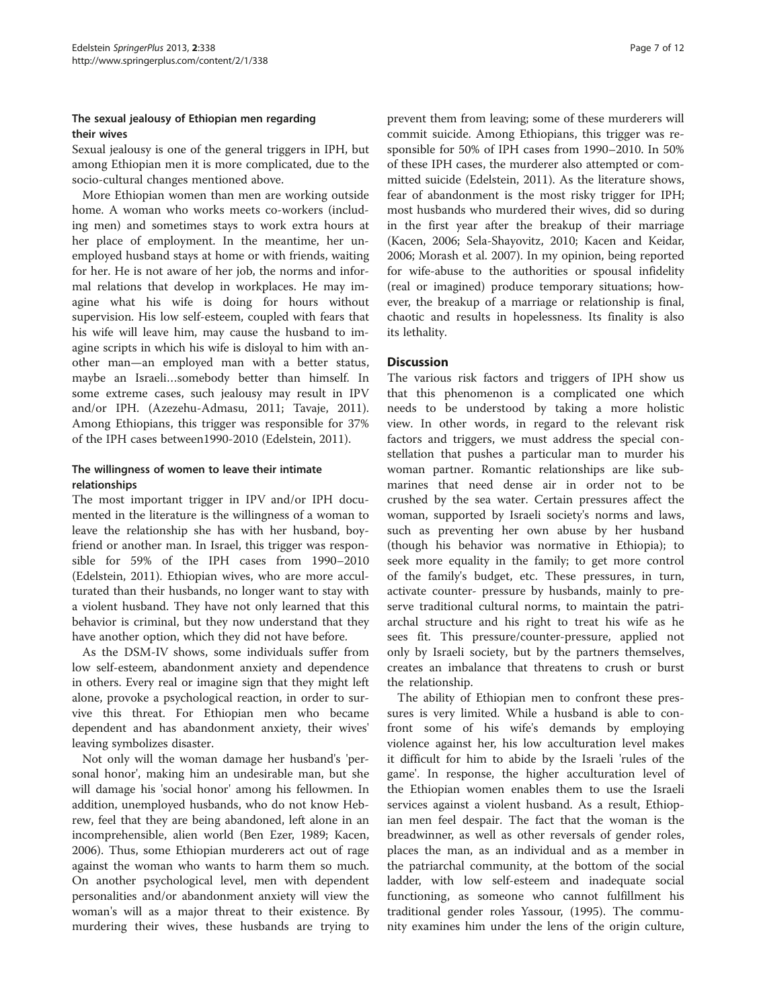#### The sexual jealousy of Ethiopian men regarding their wives

Sexual jealousy is one of the general triggers in IPH, but among Ethiopian men it is more complicated, due to the socio-cultural changes mentioned above.

More Ethiopian women than men are working outside home. A woman who works meets co-workers (including men) and sometimes stays to work extra hours at her place of employment. In the meantime, her unemployed husband stays at home or with friends, waiting for her. He is not aware of her job, the norms and informal relations that develop in workplaces. He may imagine what his wife is doing for hours without supervision. His low self-esteem, coupled with fears that his wife will leave him, may cause the husband to imagine scripts in which his wife is disloyal to him with another man—an employed man with a better status, maybe an Israeli…somebody better than himself. In some extreme cases, such jealousy may result in IPV and/or IPH. (Azezehu-Admasu, [2011](#page-10-0); Tavaje, [2011](#page-10-0)). Among Ethiopians, this trigger was responsible for 37% of the IPH cases between1990-2010 (Edelstein, [2011\)](#page-10-0).

#### The willingness of women to leave their intimate relationships

The most important trigger in IPV and/or IPH documented in the literature is the willingness of a woman to leave the relationship she has with her husband, boyfriend or another man. In Israel, this trigger was responsible for 59% of the IPH cases from 1990–2010 (Edelstein, [2011\)](#page-10-0). Ethiopian wives, who are more acculturated than their husbands, no longer want to stay with a violent husband. They have not only learned that this behavior is criminal, but they now understand that they have another option, which they did not have before.

As the DSM-IV shows, some individuals suffer from low self-esteem, abandonment anxiety and dependence in others. Every real or imagine sign that they might left alone, provoke a psychological reaction, in order to survive this threat. For Ethiopian men who became dependent and has abandonment anxiety, their wives' leaving symbolizes disaster.

Not only will the woman damage her husband's 'personal honor', making him an undesirable man, but she will damage his 'social honor' among his fellowmen. In addition, unemployed husbands, who do not know Hebrew, feel that they are being abandoned, left alone in an incomprehensible, alien world (Ben Ezer, [1989](#page-10-0); Kacen, [2006](#page-10-0)). Thus, some Ethiopian murderers act out of rage against the woman who wants to harm them so much. On another psychological level, men with dependent personalities and/or abandonment anxiety will view the woman's will as a major threat to their existence. By murdering their wives, these husbands are trying to

prevent them from leaving; some of these murderers will commit suicide. Among Ethiopians, this trigger was responsible for 50% of IPH cases from 1990–2010. In 50% of these IPH cases, the murderer also attempted or committed suicide (Edelstein, [2011\)](#page-10-0). As the literature shows, fear of abandonment is the most risky trigger for IPH; most husbands who murdered their wives, did so during in the first year after the breakup of their marriage (Kacen, [2006;](#page-10-0) Sela-Shayovitz, [2010;](#page-10-0) Kacen and Keidar, [2006](#page-10-0); Morash et al. [2007](#page-10-0)). In my opinion, being reported for wife-abuse to the authorities or spousal infidelity (real or imagined) produce temporary situations; however, the breakup of a marriage or relationship is final, chaotic and results in hopelessness. Its finality is also its lethality.

#### **Discussion**

The various risk factors and triggers of IPH show us that this phenomenon is a complicated one which needs to be understood by taking a more holistic view. In other words, in regard to the relevant risk factors and triggers, we must address the special constellation that pushes a particular man to murder his woman partner. Romantic relationships are like submarines that need dense air in order not to be crushed by the sea water. Certain pressures affect the woman, supported by Israeli society's norms and laws, such as preventing her own abuse by her husband (though his behavior was normative in Ethiopia); to seek more equality in the family; to get more control of the family's budget, etc. These pressures, in turn, activate counter- pressure by husbands, mainly to preserve traditional cultural norms, to maintain the patriarchal structure and his right to treat his wife as he sees fit. This pressure/counter-pressure, applied not only by Israeli society, but by the partners themselves, creates an imbalance that threatens to crush or burst the relationship.

The ability of Ethiopian men to confront these pressures is very limited. While a husband is able to confront some of his wife's demands by employing violence against her, his low acculturation level makes it difficult for him to abide by the Israeli 'rules of the game'. In response, the higher acculturation level of the Ethiopian women enables them to use the Israeli services against a violent husband. As a result, Ethiopian men feel despair. The fact that the woman is the breadwinner, as well as other reversals of gender roles, places the man, as an individual and as a member in the patriarchal community, at the bottom of the social ladder, with low self-esteem and inadequate social functioning, as someone who cannot fulfillment his traditional gender roles Yassour, ([1995](#page-11-0)). The community examines him under the lens of the origin culture,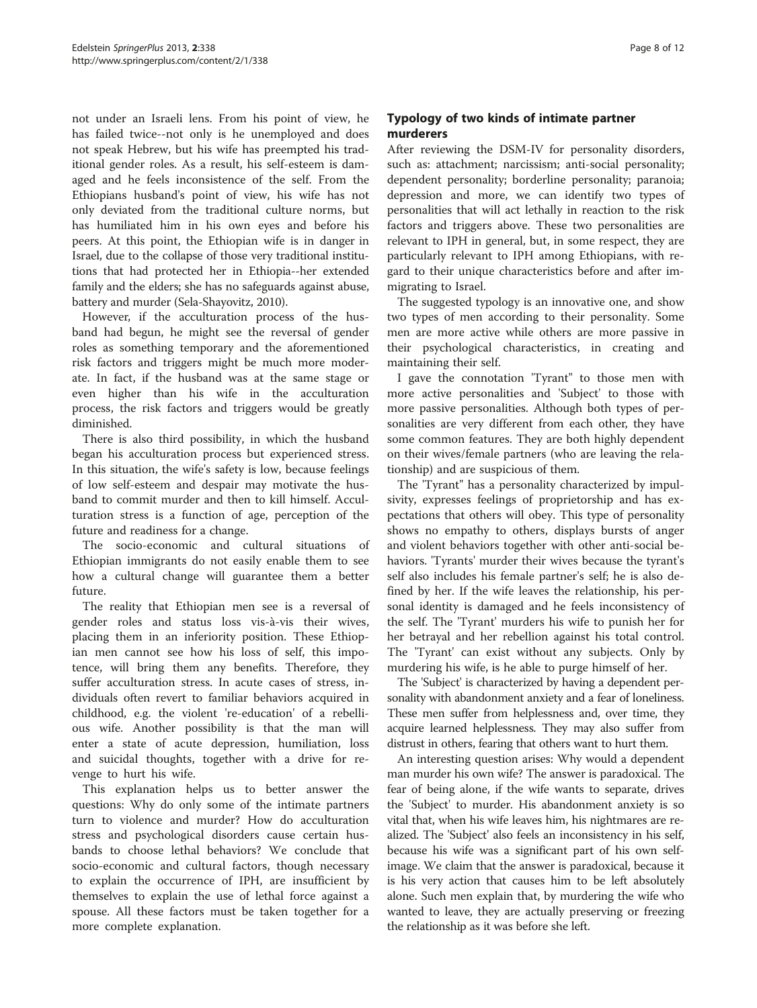not under an Israeli lens. From his point of view, he has failed twice--not only is he unemployed and does not speak Hebrew, but his wife has preempted his traditional gender roles. As a result, his self-esteem is damaged and he feels inconsistence of the self. From the Ethiopians husband's point of view, his wife has not only deviated from the traditional culture norms, but has humiliated him in his own eyes and before his peers. At this point, the Ethiopian wife is in danger in Israel, due to the collapse of those very traditional institutions that had protected her in Ethiopia--her extended family and the elders; she has no safeguards against abuse, battery and murder (Sela-Shayovitz, [2010](#page-10-0)).

However, if the acculturation process of the husband had begun, he might see the reversal of gender roles as something temporary and the aforementioned risk factors and triggers might be much more moderate. In fact, if the husband was at the same stage or even higher than his wife in the acculturation process, the risk factors and triggers would be greatly diminished.

There is also third possibility, in which the husband began his acculturation process but experienced stress. In this situation, the wife's safety is low, because feelings of low self-esteem and despair may motivate the husband to commit murder and then to kill himself. Acculturation stress is a function of age, perception of the future and readiness for a change.

The socio-economic and cultural situations of Ethiopian immigrants do not easily enable them to see how a cultural change will guarantee them a better future.

The reality that Ethiopian men see is a reversal of gender roles and status loss vis-à-vis their wives, placing them in an inferiority position. These Ethiopian men cannot see how his loss of self, this impotence, will bring them any benefits. Therefore, they suffer acculturation stress. In acute cases of stress, individuals often revert to familiar behaviors acquired in childhood, e.g. the violent 're-education' of a rebellious wife. Another possibility is that the man will enter a state of acute depression, humiliation, loss and suicidal thoughts, together with a drive for revenge to hurt his wife.

This explanation helps us to better answer the questions: Why do only some of the intimate partners turn to violence and murder? How do acculturation stress and psychological disorders cause certain husbands to choose lethal behaviors? We conclude that socio-economic and cultural factors, though necessary to explain the occurrence of IPH, are insufficient by themselves to explain the use of lethal force against a spouse. All these factors must be taken together for a more complete explanation.

## Typology of two kinds of intimate partner murderers

After reviewing the DSM-IV for personality disorders, such as: attachment; narcissism; anti-social personality; dependent personality; borderline personality; paranoia; depression and more, we can identify two types of personalities that will act lethally in reaction to the risk factors and triggers above. These two personalities are relevant to IPH in general, but, in some respect, they are particularly relevant to IPH among Ethiopians, with regard to their unique characteristics before and after immigrating to Israel.

The suggested typology is an innovative one, and show two types of men according to their personality. Some men are more active while others are more passive in their psychological characteristics, in creating and maintaining their self.

I gave the connotation 'Tyrant" to those men with more active personalities and 'Subject' to those with more passive personalities. Although both types of personalities are very different from each other, they have some common features. They are both highly dependent on their wives/female partners (who are leaving the relationship) and are suspicious of them.

The 'Tyrant" has a personality characterized by impulsivity, expresses feelings of proprietorship and has expectations that others will obey. This type of personality shows no empathy to others, displays bursts of anger and violent behaviors together with other anti-social behaviors. 'Tyrants' murder their wives because the tyrant's self also includes his female partner's self; he is also defined by her. If the wife leaves the relationship, his personal identity is damaged and he feels inconsistency of the self. The 'Tyrant' murders his wife to punish her for her betrayal and her rebellion against his total control. The 'Tyrant' can exist without any subjects. Only by murdering his wife, is he able to purge himself of her.

The 'Subject' is characterized by having a dependent personality with abandonment anxiety and a fear of loneliness. These men suffer from helplessness and, over time, they acquire learned helplessness. They may also suffer from distrust in others, fearing that others want to hurt them.

An interesting question arises: Why would a dependent man murder his own wife? The answer is paradoxical. The fear of being alone, if the wife wants to separate, drives the 'Subject' to murder. His abandonment anxiety is so vital that, when his wife leaves him, his nightmares are realized. The 'Subject' also feels an inconsistency in his self, because his wife was a significant part of his own selfimage. We claim that the answer is paradoxical, because it is his very action that causes him to be left absolutely alone. Such men explain that, by murdering the wife who wanted to leave, they are actually preserving or freezing the relationship as it was before she left.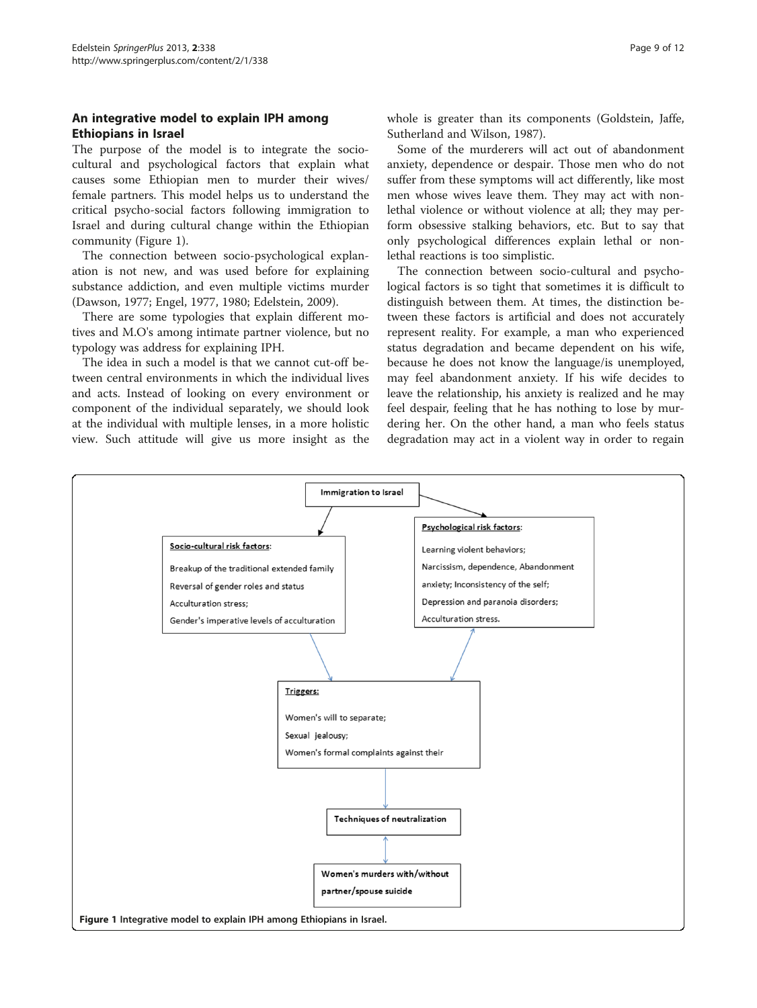## An integrative model to explain IPH among Ethiopians in Israel

The purpose of the model is to integrate the sociocultural and psychological factors that explain what causes some Ethiopian men to murder their wives/ female partners. This model helps us to understand the critical psycho-social factors following immigration to Israel and during cultural change within the Ethiopian community (Figure 1).

The connection between socio-psychological explanation is not new, and was used before for explaining substance addiction, and even multiple victims murder (Dawson, [1977](#page-10-0); Engel, [1977, 1980](#page-10-0); Edelstein, [2009](#page-10-0)).

There are some typologies that explain different motives and M.O's among intimate partner violence, but no typology was address for explaining IPH.

The idea in such a model is that we cannot cut-off between central environments in which the individual lives and acts. Instead of looking on every environment or component of the individual separately, we should look at the individual with multiple lenses, in a more holistic view. Such attitude will give us more insight as the

Some of the murderers will act out of abandonment anxiety, dependence or despair. Those men who do not suffer from these symptoms will act differently, like most men whose wives leave them. They may act with nonlethal violence or without violence at all; they may perform obsessive stalking behaviors, etc. But to say that only psychological differences explain lethal or nonlethal reactions is too simplistic.

The connection between socio-cultural and psychological factors is so tight that sometimes it is difficult to distinguish between them. At times, the distinction between these factors is artificial and does not accurately represent reality. For example, a man who experienced status degradation and became dependent on his wife, because he does not know the language/is unemployed, may feel abandonment anxiety. If his wife decides to leave the relationship, his anxiety is realized and he may feel despair, feeling that he has nothing to lose by murdering her. On the other hand, a man who feels status degradation may act in a violent way in order to regain

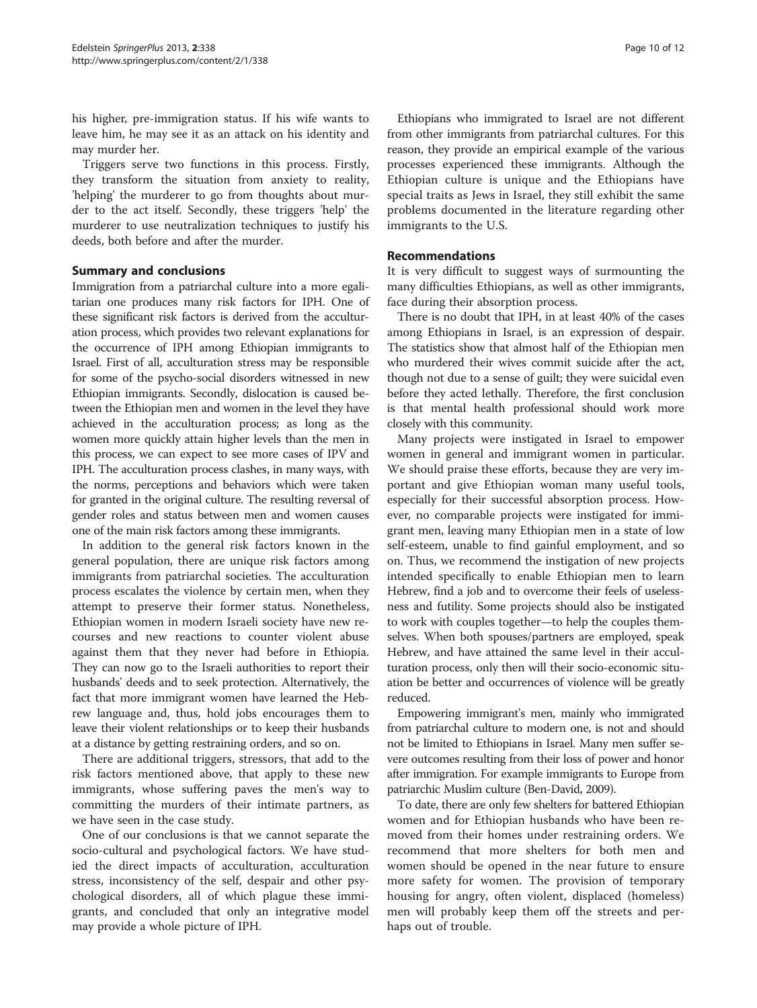his higher, pre-immigration status. If his wife wants to leave him, he may see it as an attack on his identity and may murder her.

Triggers serve two functions in this process. Firstly, they transform the situation from anxiety to reality, 'helping' the murderer to go from thoughts about murder to the act itself. Secondly, these triggers 'help' the murderer to use neutralization techniques to justify his deeds, both before and after the murder.

#### Summary and conclusions

Immigration from a patriarchal culture into a more egalitarian one produces many risk factors for IPH. One of these significant risk factors is derived from the acculturation process, which provides two relevant explanations for the occurrence of IPH among Ethiopian immigrants to Israel. First of all, acculturation stress may be responsible for some of the psycho-social disorders witnessed in new Ethiopian immigrants. Secondly, dislocation is caused between the Ethiopian men and women in the level they have achieved in the acculturation process; as long as the women more quickly attain higher levels than the men in this process, we can expect to see more cases of IPV and IPH. The acculturation process clashes, in many ways, with the norms, perceptions and behaviors which were taken for granted in the original culture. The resulting reversal of gender roles and status between men and women causes one of the main risk factors among these immigrants.

In addition to the general risk factors known in the general population, there are unique risk factors among immigrants from patriarchal societies. The acculturation process escalates the violence by certain men, when they attempt to preserve their former status. Nonetheless, Ethiopian women in modern Israeli society have new recourses and new reactions to counter violent abuse against them that they never had before in Ethiopia. They can now go to the Israeli authorities to report their husbands' deeds and to seek protection. Alternatively, the fact that more immigrant women have learned the Hebrew language and, thus, hold jobs encourages them to leave their violent relationships or to keep their husbands at a distance by getting restraining orders, and so on.

There are additional triggers, stressors, that add to the risk factors mentioned above, that apply to these new immigrants, whose suffering paves the men's way to committing the murders of their intimate partners, as we have seen in the case study.

One of our conclusions is that we cannot separate the socio-cultural and psychological factors. We have studied the direct impacts of acculturation, acculturation stress, inconsistency of the self, despair and other psychological disorders, all of which plague these immigrants, and concluded that only an integrative model may provide a whole picture of IPH.

Ethiopians who immigrated to Israel are not different from other immigrants from patriarchal cultures. For this reason, they provide an empirical example of the various processes experienced these immigrants. Although the Ethiopian culture is unique and the Ethiopians have special traits as Jews in Israel, they still exhibit the same problems documented in the literature regarding other immigrants to the U.S.

#### Recommendations

It is very difficult to suggest ways of surmounting the many difficulties Ethiopians, as well as other immigrants, face during their absorption process.

There is no doubt that IPH, in at least 40% of the cases among Ethiopians in Israel, is an expression of despair. The statistics show that almost half of the Ethiopian men who murdered their wives commit suicide after the act, though not due to a sense of guilt; they were suicidal even before they acted lethally. Therefore, the first conclusion is that mental health professional should work more closely with this community.

Many projects were instigated in Israel to empower women in general and immigrant women in particular. We should praise these efforts, because they are very important and give Ethiopian woman many useful tools, especially for their successful absorption process. However, no comparable projects were instigated for immigrant men, leaving many Ethiopian men in a state of low self-esteem, unable to find gainful employment, and so on. Thus, we recommend the instigation of new projects intended specifically to enable Ethiopian men to learn Hebrew, find a job and to overcome their feels of uselessness and futility. Some projects should also be instigated to work with couples together—to help the couples themselves. When both spouses/partners are employed, speak Hebrew, and have attained the same level in their acculturation process, only then will their socio-economic situation be better and occurrences of violence will be greatly reduced.

Empowering immigrant's men, mainly who immigrated from patriarchal culture to modern one, is not and should not be limited to Ethiopians in Israel. Many men suffer severe outcomes resulting from their loss of power and honor after immigration. For example immigrants to Europe from patriarchic Muslim culture (Ben-David, [2009\)](#page-10-0).

To date, there are only few shelters for battered Ethiopian women and for Ethiopian husbands who have been removed from their homes under restraining orders. We recommend that more shelters for both men and women should be opened in the near future to ensure more safety for women. The provision of temporary housing for angry, often violent, displaced (homeless) men will probably keep them off the streets and perhaps out of trouble.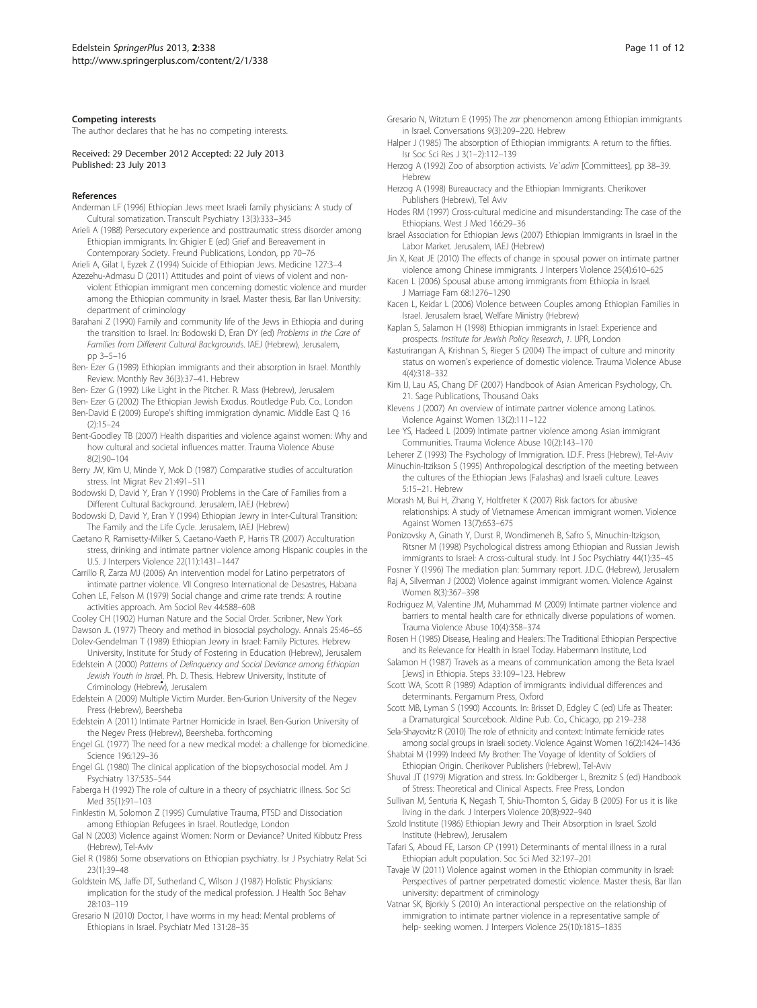#### <span id="page-10-0"></span>Competing interests

The author declares that he has no competing interests.

Received: 29 December 2012 Accepted: 22 July 2013 Published: 23 July 2013

#### References

- Anderman LF (1996) Ethiopian Jews meet Israeli family physicians: A study of Cultural somatization. Transcult Psychiatry 13(3):333–345
- Arieli A (1988) Persecutory experience and posttraumatic stress disorder among Ethiopian immigrants. In: Ghigier E (ed) Grief and Bereavement in Contemporary Society. Freund Publications, London, pp 70–76
- Arieli A, Gilat I, Eyzek Z (1994) Suicide of Ethiopian Jews. Medicine 127:3–4 Azezehu-Admasu D (2011) Attitudes and point of views of violent and non-
- violent Ethiopian immigrant men concerning domestic violence and murder among the Ethiopian community in Israel. Master thesis, Bar Ilan University: department of criminology
- Barahani Z (1990) Family and community life of the Jews in Ethiopia and during the transition to Israel. In: Bodowski D, Eran DY (ed) Problems in the Care of Families from Different Cultural Backgrounds. IAEJ (Hebrew), Jerusalem, pp 3–5–16
- Ben- Ezer G (1989) Ethiopian immigrants and their absorption in Israel. Monthly Review. Monthly Rev 36(3):37–41. Hebrew
- Ben- Ezer G (1992) Like Light in the Pitcher. R. Mass (Hebrew), Jerusalem
- Ben- Ezer G (2002) The Ethiopian Jewish Exodus. Routledge Pub. Co., London
- Ben-David E (2009) Europe's shifting immigration dynamic. Middle East Q 16  $(2):15-24$
- Bent-Goodley TB (2007) Health disparities and violence against women: Why and how cultural and societal influences matter. Trauma Violence Abuse 8(2):90–104
- Berry JW, Kim U, Minde Y, Mok D (1987) Comparative studies of acculturation stress. Int Migrat Rev 21:491–511
- Bodowski D, David Y, Eran Y (1990) Problems in the Care of Families from a Different Cultural Background. Jerusalem, IAEJ (Hebrew)
- Bodowski D, David Y, Eran Y (1994) Ethiopian Jewry in Inter-Cultural Transition: The Family and the Life Cycle. Jerusalem, IAEJ (Hebrew)
- Caetano R, Ramisetty-Milker S, Caetano-Vaeth P, Harris TR (2007) Acculturation stress, drinking and intimate partner violence among Hispanic couples in the U.S. J Interpers Violence 22(11):1431–1447
- Carrillo R, Zarza MJ (2006) An intervention model for Latino perpetrators of intimate partner violence. VII Congreso International de Desastres, Habana
- Cohen LE, Felson M (1979) Social change and crime rate trends: A routine activities approach. Am Sociol Rev 44:588–608
- Cooley CH (1902) Human Nature and the Social Order. Scribner, New York Dawson JL (1977) Theory and method in biosocial psychology. Annals 25:46–65 Dolev-Gendelman T (1989) Ethiopian Jewry in Israel: Family Pictures. Hebrew
- University, Institute for Study of Fostering in Education (Hebrew), Jerusalem Edelstein A (2000) Patterns of Delinquency and Social Deviance among Ethiopian Jewish Youth in Israel. Ph. D. Thesis. Hebrew University, Institute of
- Criminology (Hebrew), Jerusalem Edelstein A (2009) Multiple Victim Murder. Ben-Gurion University of the Negev Press (Hebrew), Beersheba
- Edelstein A (2011) Intimate Partner Homicide in Israel. Ben-Gurion University of the Negev Press (Hebrew), Beersheba. forthcoming
- Engel GL (1977) The need for a new medical model: a challenge for biomedicine. Science 196:129–36
- Engel GL (1980) The clinical application of the biopsychosocial model. Am J Psychiatry 137:535–544
- Faberga H (1992) The role of culture in a theory of psychiatric illness. Soc Sci Med 35(1):91–103
- Finklestin M, Solomon Z (1995) Cumulative Trauma, PTSD and Dissociation among Ethiopian Refugees in Israel. Routledge, London
- Gal N (2003) Violence against Women: Norm or Deviance? United Kibbutz Press (Hebrew), Tel-Aviv
- Giel R (1986) Some observations on Ethiopian psychiatry. Isr J Psychiatry Relat Sci 23(1):39–48
- Goldstein MS, Jaffe DT, Sutherland C, Wilson J (1987) Holistic Physicians: implication for the study of the medical profession. J Health Soc Behav 28:103–119
- Gresario N (2010) Doctor, I have worms in my head: Mental problems of Ethiopians in Israel. Psychiatr Med 131:28–35
- Gresario N, Witztum E (1995) The zar phenomenon among Ethiopian immigrants in Israel. Conversations 9(3):209–220. Hebrew
- Halper J (1985) The absorption of Ethiopian immigrants: A return to the fifties. Isr Soc Sci Res J 3(1–2):112–139
- Herzog A (1992) Zoo of absorption activists. Ve`adim [Committees], pp 38-39. Hebrew
- Herzog A (1998) Bureaucracy and the Ethiopian Immigrants. Cherikover Publishers (Hebrew), Tel Aviv
- Hodes RM (1997) Cross-cultural medicine and misunderstanding: The case of the Ethiopians. West J Med 166:29–36
- Israel Association for Ethiopian Jews (2007) Ethiopian Immigrants in Israel in the Labor Market. Jerusalem, IAEJ (Hebrew)
- Jin X, Keat JE (2010) The effects of change in spousal power on intimate partner violence among Chinese immigrants. J Interpers Violence 25(4):610–625
- Kacen L (2006) Spousal abuse among immigrants from Ethiopia in Israel. J Marriage Fam 68:1276–1290
- Kacen L, Keidar L (2006) Violence between Couples among Ethiopian Families in Israel. Jerusalem Israel, Welfare Ministry (Hebrew)
- Kaplan S, Salamon H (1998) Ethiopian immigrants in Israel: Experience and prospects. Institute for Jewish Policy Research, 1. IJPR, London
- Kasturirangan A, Krishnan S, Rieger S (2004) The impact of culture and minority status on women's experience of domestic violence. Trauma Violence Abuse 4(4):318–332
- Kim IJ, Lau AS, Chang DF (2007) Handbook of Asian American Psychology, Ch. 21. Sage Publications, Thousand Oaks
- Klevens J (2007) An overview of intimate partner violence among Latinos. Violence Against Women 13(2):111–122
- Lee YS, Hadeed L (2009) Intimate partner violence among Asian immigrant Communities. Trauma Violence Abuse 10(2):143–170
- Leherer Z (1993) The Psychology of Immigration. I.D.F. Press (Hebrew), Tel-Aviv

Minuchin-Itzikson S (1995) Anthropological description of the meeting between the cultures of the Ethiopian Jews (Falashas) and Israeli culture. Leaves 5:15–21. Hebrew

- Morash M, Bui H, Zhang Y, Holtfreter K (2007) Risk factors for abusive relationships: A study of Vietnamese American immigrant women. Violence Against Women 13(7):653–675
- Ponizovsky A, Ginath Y, Durst R, Wondimeneh B, Safro S, Minuchin-Itzigson, Ritsner M (1998) Psychological distress among Ethiopian and Russian Jewish immigrants to Israel: A cross-cultural study. Int J Soc Psychiatry 44(1):35–45
- Posner Y (1996) The mediation plan: Summary report. J.D.C. (Hebrew), Jerusalem

Raj A, Silverman J (2002) Violence against immigrant women. Violence Against Women 8(3):367–398

- Rodriguez M, Valentine JM, Muhammad M (2009) Intimate partner violence and barriers to mental health care for ethnically diverse populations of women. Trauma Violence Abuse 10(4):358–374
- Rosen H (1985) Disease, Healing and Healers: The Traditional Ethiopian Perspective and its Relevance for Health in Israel Today. Habermann Institute, Lod
- Salamon H (1987) Travels as a means of communication among the Beta Israel [Jews] in Ethiopia. Steps 33:109–123. Hebrew
- Scott WA, Scott R (1989) Adaption of immigrants: individual differences and determinants. Pergamum Press, Oxford
- Scott MB, Lyman S (1990) Accounts. In: Brisset D, Edgley C (ed) Life as Theater: a Dramaturgical Sourcebook. Aldine Pub. Co., Chicago, pp 219–238
- Sela-Shayovitz R (2010) The role of ethnicity and context: Intimate femicide rates among social groups in Israeli society. Violence Against Women 16(2):1424–1436
- Shabtai M (1999) Indeed My Brother: The Voyage of Identity of Soldiers of Ethiopian Origin. Cherikover Publishers (Hebrew), Tel-Aviv
- Shuval JT (1979) Migration and stress. In: Goldberger L, Breznitz S (ed) Handbook of Stress: Theoretical and Clinical Aspects. Free Press, London
- Sullivan M, Senturia K, Negash T, Shiu-Thornton S, Giday B (2005) For us it is like living in the dark. J Interpers Violence 20(8):922–940
- Szold Institute (1986) Ethiopian Jewry and Their Absorption in Israel. Szold Institute (Hebrew), Jerusalem
- Tafari S, Aboud FE, Larson CP (1991) Determinants of mental illness in a rural Ethiopian adult population. Soc Sci Med 32:197–201
- Tavaje W (2011) Violence against women in the Ethiopian community in Israel: Perspectives of partner perpetrated domestic violence. Master thesis, Bar Ilan university: department of criminology
- Vatnar SK, Bjorkly S (2010) An interactional perspective on the relationship of immigration to intimate partner violence in a representative sample of help- seeking women. J Interpers Violence 25(10):1815–1835